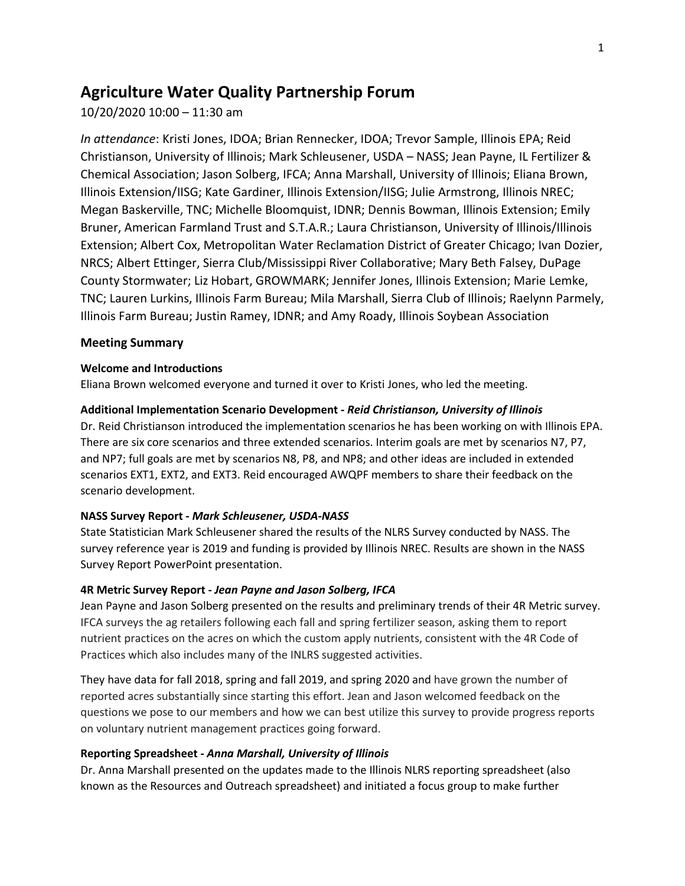# **Agriculture Water Quality Partnership Forum**

10/20/2020 10:00 – 11:30 am

*In attendance*: Kristi Jones, IDOA; Brian Rennecker, IDOA; Trevor Sample, Illinois EPA; Reid Christianson, University of Illinois; Mark Schleusener, USDA – NASS; Jean Payne, IL Fertilizer & Chemical Association; Jason Solberg, IFCA; Anna Marshall, University of Illinois; Eliana Brown, Illinois Extension/IISG; Kate Gardiner, Illinois Extension/IISG; Julie Armstrong, Illinois NREC; Megan Baskerville, TNC; Michelle Bloomquist, IDNR; Dennis Bowman, Illinois Extension; Emily Bruner, American Farmland Trust and S.T.A.R.; Laura Christianson, University of Illinois/Illinois Extension; Albert Cox, Metropolitan Water Reclamation District of Greater Chicago; Ivan Dozier, NRCS; Albert Ettinger, Sierra Club/Mississippi River Collaborative; Mary Beth Falsey, DuPage County Stormwater; Liz Hobart, GROWMARK; Jennifer Jones, Illinois Extension; Marie Lemke, TNC; Lauren Lurkins, Illinois Farm Bureau; Mila Marshall, Sierra Club of Illinois; Raelynn Parmely, Illinois Farm Bureau; Justin Ramey, IDNR; and Amy Roady, Illinois Soybean Association

# **Meeting Summary**

# **Welcome and Introductions**

Eliana Brown welcomed everyone and turned it over to Kristi Jones, who led the meeting.

# **Additional Implementation Scenario Development -** *Reid Christianson, University of Illinois*

Dr. Reid Christianson introduced the implementation scenarios he has been working on with Illinois EPA. There are six core scenarios and three extended scenarios. Interim goals are met by scenarios N7, P7, and NP7; full goals are met by scenarios N8, P8, and NP8; and other ideas are included in extended scenarios EXT1, EXT2, and EXT3. Reid encouraged AWQPF members to share their feedback on the scenario development.

# **NASS Survey Report** *- Mark Schleusener, USDA-NASS*

State Statistician Mark Schleusener shared the results of the NLRS Survey conducted by NASS. The survey reference year is 2019 and funding is provided by Illinois NREC. Results are shown in the NASS Survey Report PowerPoint presentation.

# **4R Metric Survey Report -** *Jean Payne and Jason Solberg, IFCA*

Jean Payne and Jason Solberg presented on the results and preliminary trends of their 4R Metric survey. IFCA surveys the ag retailers following each fall and spring fertilizer season, asking them to report nutrient practices on the acres on which the custom apply nutrients, consistent with the 4R Code of Practices which also includes many of the INLRS suggested activities.

They have data for fall 2018, spring and fall 2019, and spring 2020 and have grown the number of reported acres substantially since starting this effort. Jean and Jason welcomed feedback on the questions we pose to our members and how we can best utilize this survey to provide progress reports on voluntary nutrient management practices going forward.

# **Reporting Spreadsheet -** *Anna Marshall, University of Illinois*

Dr. Anna Marshall presented on the updates made to the Illinois NLRS reporting spreadsheet (also known as the Resources and Outreach spreadsheet) and initiated a focus group to make further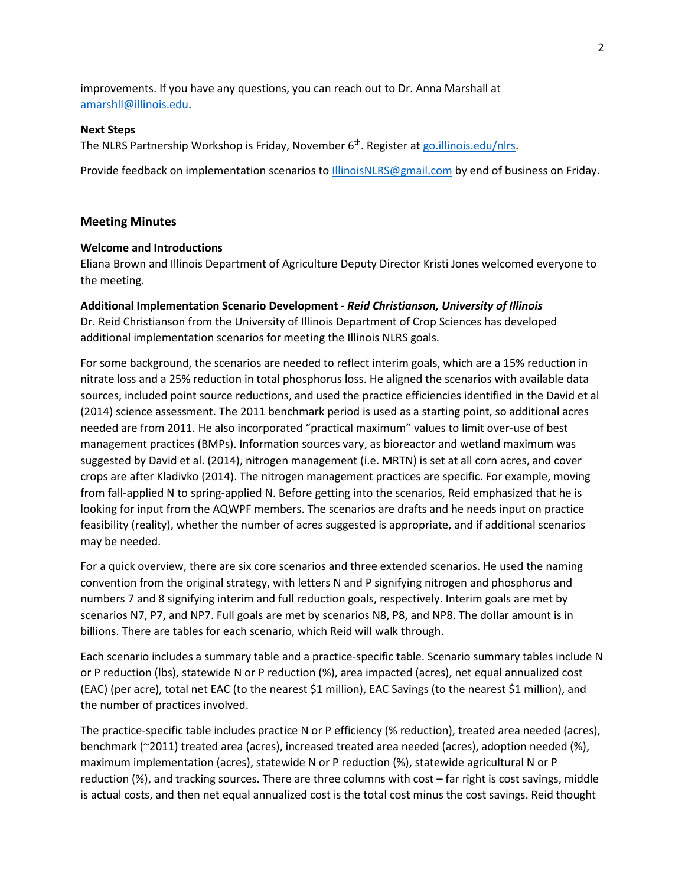improvements. If you have any questions, you can reach out to Dr. Anna Marshall at [amarshll@illinois.edu.](mailto:amarshll@illinois.edu)

#### **Next Steps**

The NLRS Partnership Workshop is Friday, November  $6<sup>th</sup>$ . Register at go.illinois.edu/nlrs.

Provide feedback on implementation scenarios t[o IllinoisNLRS@gmail.com](mailto:IllinoisNLRS@gmail.com) by end of business on Friday.

### **Meeting Minutes**

## **Welcome and Introductions**

Eliana Brown and Illinois Department of Agriculture Deputy Director Kristi Jones welcomed everyone to the meeting.

### **Additional Implementation Scenario Development -** *Reid Christianson, University of Illinois*

Dr. Reid Christianson from the University of Illinois Department of Crop Sciences has developed additional implementation scenarios for meeting the Illinois NLRS goals.

For some background, the scenarios are needed to reflect interim goals, which are a 15% reduction in nitrate loss and a 25% reduction in total phosphorus loss. He aligned the scenarios with available data sources, included point source reductions, and used the practice efficiencies identified in the David et al (2014) science assessment. The 2011 benchmark period is used as a starting point, so additional acres needed are from 2011. He also incorporated "practical maximum" values to limit over-use of best management practices (BMPs). Information sources vary, as bioreactor and wetland maximum was suggested by David et al. (2014), nitrogen management (i.e. MRTN) is set at all corn acres, and cover crops are after Kladivko (2014). The nitrogen management practices are specific. For example, moving from fall-applied N to spring-applied N. Before getting into the scenarios, Reid emphasized that he is looking for input from the AQWPF members. The scenarios are drafts and he needs input on practice feasibility (reality), whether the number of acres suggested is appropriate, and if additional scenarios may be needed.

For a quick overview, there are six core scenarios and three extended scenarios. He used the naming convention from the original strategy, with letters N and P signifying nitrogen and phosphorus and numbers 7 and 8 signifying interim and full reduction goals, respectively. Interim goals are met by scenarios N7, P7, and NP7. Full goals are met by scenarios N8, P8, and NP8. The dollar amount is in billions. There are tables for each scenario, which Reid will walk through.

Each scenario includes a summary table and a practice-specific table. Scenario summary tables include N or P reduction (lbs), statewide N or P reduction (%), area impacted (acres), net equal annualized cost (EAC) (per acre), total net EAC (to the nearest \$1 million), EAC Savings (to the nearest \$1 million), and the number of practices involved.

The practice-specific table includes practice N or P efficiency (% reduction), treated area needed (acres), benchmark (~2011) treated area (acres), increased treated area needed (acres), adoption needed (%), maximum implementation (acres), statewide N or P reduction (%), statewide agricultural N or P reduction (%), and tracking sources. There are three columns with cost – far right is cost savings, middle is actual costs, and then net equal annualized cost is the total cost minus the cost savings. Reid thought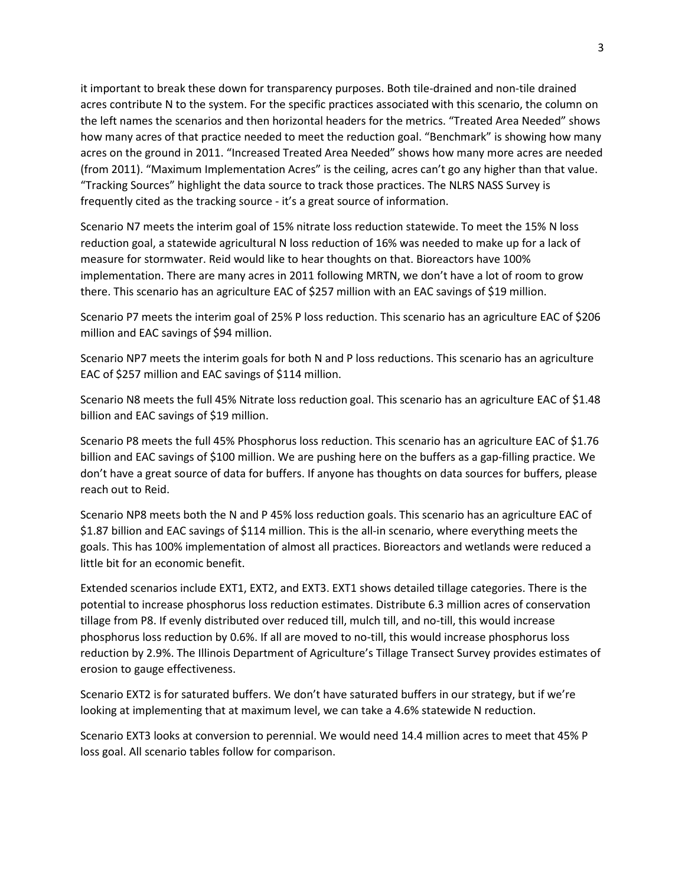it important to break these down for transparency purposes. Both tile-drained and non-tile drained acres contribute N to the system. For the specific practices associated with this scenario, the column on the left names the scenarios and then horizontal headers for the metrics. "Treated Area Needed" shows how many acres of that practice needed to meet the reduction goal. "Benchmark" is showing how many acres on the ground in 2011. "Increased Treated Area Needed" shows how many more acres are needed (from 2011). "Maximum Implementation Acres" is the ceiling, acres can't go any higher than that value. "Tracking Sources" highlight the data source to track those practices. The NLRS NASS Survey is frequently cited as the tracking source - it's a great source of information.

Scenario N7 meets the interim goal of 15% nitrate loss reduction statewide. To meet the 15% N loss reduction goal, a statewide agricultural N loss reduction of 16% was needed to make up for a lack of measure for stormwater. Reid would like to hear thoughts on that. Bioreactors have 100% implementation. There are many acres in 2011 following MRTN, we don't have a lot of room to grow there. This scenario has an agriculture EAC of \$257 million with an EAC savings of \$19 million.

Scenario P7 meets the interim goal of 25% P loss reduction. This scenario has an agriculture EAC of \$206 million and EAC savings of \$94 million.

Scenario NP7 meets the interim goals for both N and P loss reductions. This scenario has an agriculture EAC of \$257 million and EAC savings of \$114 million.

Scenario N8 meets the full 45% Nitrate loss reduction goal. This scenario has an agriculture EAC of \$1.48 billion and EAC savings of \$19 million.

Scenario P8 meets the full 45% Phosphorus loss reduction. This scenario has an agriculture EAC of \$1.76 billion and EAC savings of \$100 million. We are pushing here on the buffers as a gap-filling practice. We don't have a great source of data for buffers. If anyone has thoughts on data sources for buffers, please reach out to Reid.

Scenario NP8 meets both the N and P 45% loss reduction goals. This scenario has an agriculture EAC of \$1.87 billion and EAC savings of \$114 million. This is the all-in scenario, where everything meets the goals. This has 100% implementation of almost all practices. Bioreactors and wetlands were reduced a little bit for an economic benefit.

Extended scenarios include EXT1, EXT2, and EXT3. EXT1 shows detailed tillage categories. There is the potential to increase phosphorus loss reduction estimates. Distribute 6.3 million acres of conservation tillage from P8. If evenly distributed over reduced till, mulch till, and no-till, this would increase phosphorus loss reduction by 0.6%. If all are moved to no-till, this would increase phosphorus loss reduction by 2.9%. The Illinois Department of Agriculture's Tillage Transect Survey provides estimates of erosion to gauge effectiveness.

Scenario EXT2 is for saturated buffers. We don't have saturated buffers in our strategy, but if we're looking at implementing that at maximum level, we can take a 4.6% statewide N reduction.

Scenario EXT3 looks at conversion to perennial. We would need 14.4 million acres to meet that 45% P loss goal. All scenario tables follow for comparison.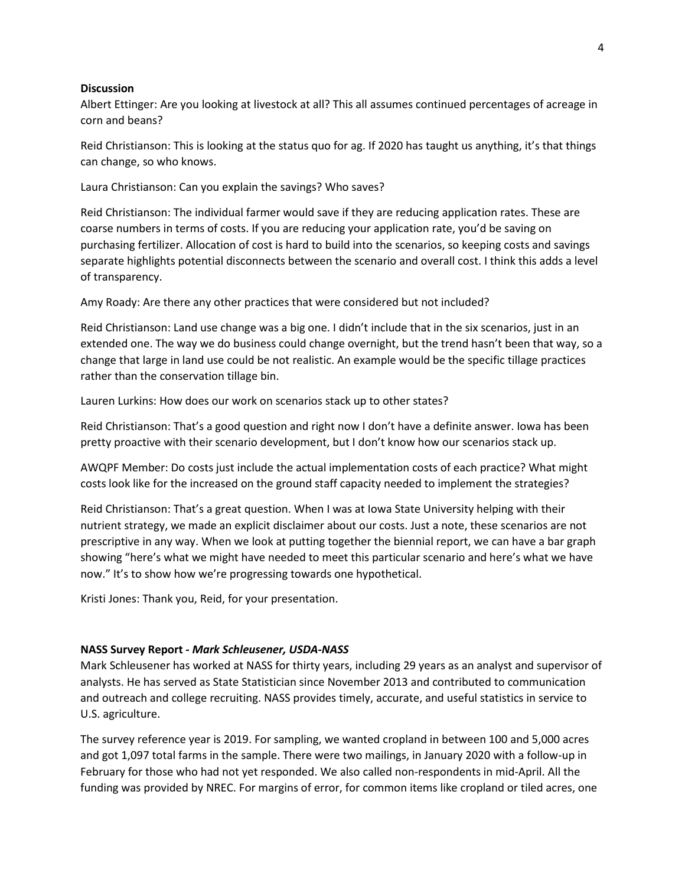#### **Discussion**

Albert Ettinger: Are you looking at livestock at all? This all assumes continued percentages of acreage in corn and beans?

Reid Christianson: This is looking at the status quo for ag. If 2020 has taught us anything, it's that things can change, so who knows.

Laura Christianson: Can you explain the savings? Who saves?

Reid Christianson: The individual farmer would save if they are reducing application rates. These are coarse numbers in terms of costs. If you are reducing your application rate, you'd be saving on purchasing fertilizer. Allocation of cost is hard to build into the scenarios, so keeping costs and savings separate highlights potential disconnects between the scenario and overall cost. I think this adds a level of transparency.

Amy Roady: Are there any other practices that were considered but not included?

Reid Christianson: Land use change was a big one. I didn't include that in the six scenarios, just in an extended one. The way we do business could change overnight, but the trend hasn't been that way, so a change that large in land use could be not realistic. An example would be the specific tillage practices rather than the conservation tillage bin.

Lauren Lurkins: How does our work on scenarios stack up to other states?

Reid Christianson: That's a good question and right now I don't have a definite answer. Iowa has been pretty proactive with their scenario development, but I don't know how our scenarios stack up.

AWQPF Member: Do costs just include the actual implementation costs of each practice? What might costs look like for the increased on the ground staff capacity needed to implement the strategies?

Reid Christianson: That's a great question. When I was at Iowa State University helping with their nutrient strategy, we made an explicit disclaimer about our costs. Just a note, these scenarios are not prescriptive in any way. When we look at putting together the biennial report, we can have a bar graph showing "here's what we might have needed to meet this particular scenario and here's what we have now." It's to show how we're progressing towards one hypothetical.

Kristi Jones: Thank you, Reid, for your presentation.

#### **NASS Survey Report** *- Mark Schleusener, USDA-NASS*

Mark Schleusener has worked at NASS for thirty years, including 29 years as an analyst and supervisor of analysts. He has served as State Statistician since November 2013 and contributed to communication and outreach and college recruiting. NASS provides timely, accurate, and useful statistics in service to U.S. agriculture.

The survey reference year is 2019. For sampling, we wanted cropland in between 100 and 5,000 acres and got 1,097 total farms in the sample. There were two mailings, in January 2020 with a follow-up in February for those who had not yet responded. We also called non-respondents in mid-April. All the funding was provided by NREC. For margins of error, for common items like cropland or tiled acres, one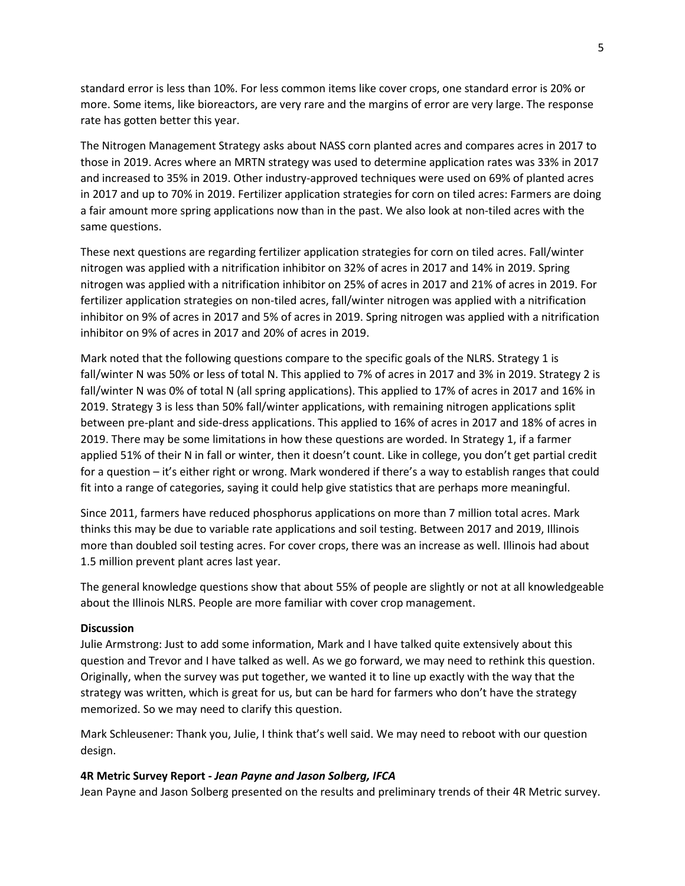standard error is less than 10%. For less common items like cover crops, one standard error is 20% or more. Some items, like bioreactors, are very rare and the margins of error are very large. The response rate has gotten better this year.

The Nitrogen Management Strategy asks about NASS corn planted acres and compares acres in 2017 to those in 2019. Acres where an MRTN strategy was used to determine application rates was 33% in 2017 and increased to 35% in 2019. Other industry-approved techniques were used on 69% of planted acres in 2017 and up to 70% in 2019. Fertilizer application strategies for corn on tiled acres: Farmers are doing a fair amount more spring applications now than in the past. We also look at non-tiled acres with the same questions.

These next questions are regarding fertilizer application strategies for corn on tiled acres. Fall/winter nitrogen was applied with a nitrification inhibitor on 32% of acres in 2017 and 14% in 2019. Spring nitrogen was applied with a nitrification inhibitor on 25% of acres in 2017 and 21% of acres in 2019. For fertilizer application strategies on non-tiled acres, fall/winter nitrogen was applied with a nitrification inhibitor on 9% of acres in 2017 and 5% of acres in 2019. Spring nitrogen was applied with a nitrification inhibitor on 9% of acres in 2017 and 20% of acres in 2019.

Mark noted that the following questions compare to the specific goals of the NLRS. Strategy 1 is fall/winter N was 50% or less of total N. This applied to 7% of acres in 2017 and 3% in 2019. Strategy 2 is fall/winter N was 0% of total N (all spring applications). This applied to 17% of acres in 2017 and 16% in 2019. Strategy 3 is less than 50% fall/winter applications, with remaining nitrogen applications split between pre-plant and side-dress applications. This applied to 16% of acres in 2017 and 18% of acres in 2019. There may be some limitations in how these questions are worded. In Strategy 1, if a farmer applied 51% of their N in fall or winter, then it doesn't count. Like in college, you don't get partial credit for a question – it's either right or wrong. Mark wondered if there's a way to establish ranges that could fit into a range of categories, saying it could help give statistics that are perhaps more meaningful.

Since 2011, farmers have reduced phosphorus applications on more than 7 million total acres. Mark thinks this may be due to variable rate applications and soil testing. Between 2017 and 2019, Illinois more than doubled soil testing acres. For cover crops, there was an increase as well. Illinois had about 1.5 million prevent plant acres last year.

The general knowledge questions show that about 55% of people are slightly or not at all knowledgeable about the Illinois NLRS. People are more familiar with cover crop management.

# **Discussion**

Julie Armstrong: Just to add some information, Mark and I have talked quite extensively about this question and Trevor and I have talked as well. As we go forward, we may need to rethink this question. Originally, when the survey was put together, we wanted it to line up exactly with the way that the strategy was written, which is great for us, but can be hard for farmers who don't have the strategy memorized. So we may need to clarify this question.

Mark Schleusener: Thank you, Julie, I think that's well said. We may need to reboot with our question design.

#### **4R Metric Survey Report -** *Jean Payne and Jason Solberg, IFCA*

Jean Payne and Jason Solberg presented on the results and preliminary trends of their 4R Metric survey.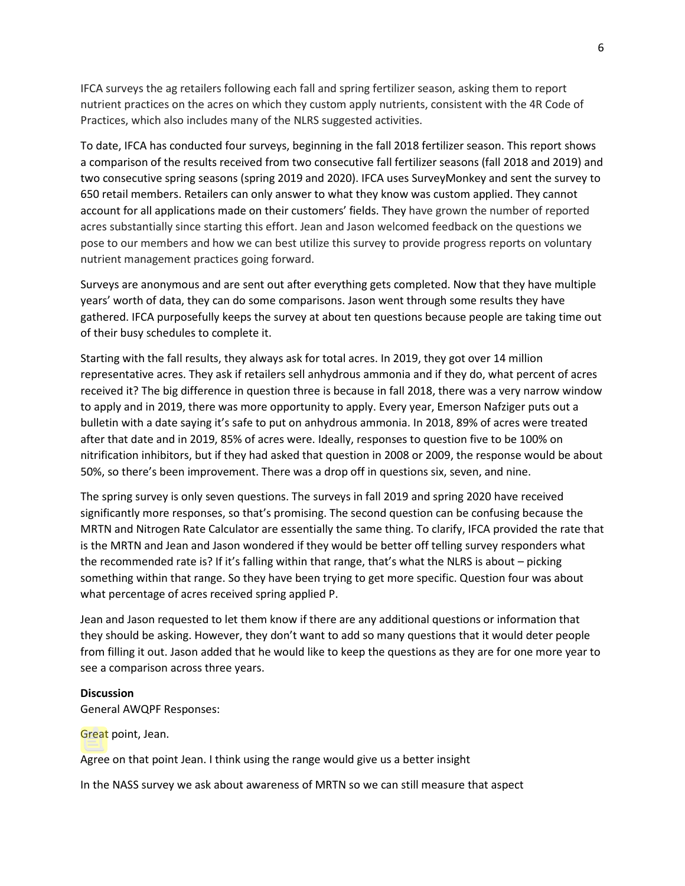IFCA surveys the ag retailers following each fall and spring fertilizer season, asking them to report nutrient practices on the acres on which they custom apply nutrients, consistent with the 4R Code of Practices, which also includes many of the NLRS suggested activities.

To date, IFCA has conducted four surveys, beginning in the fall 2018 fertilizer season. This report shows a comparison of the results received from two consecutive fall fertilizer seasons (fall 2018 and 2019) and two consecutive spring seasons (spring 2019 and 2020). IFCA uses SurveyMonkey and sent the survey to 650 retail members. Retailers can only answer to what they know was custom applied. They cannot account for all applications made on their customers' fields. They have grown the number of reported acres substantially since starting this effort. Jean and Jason welcomed feedback on the questions we pose to our members and how we can best utilize this survey to provide progress reports on voluntary nutrient management practices going forward.

Surveys are anonymous and are sent out after everything gets completed. Now that they have multiple years' worth of data, they can do some comparisons. Jason went through some results they have gathered. IFCA purposefully keeps the survey at about ten questions because people are taking time out of their busy schedules to complete it.

Starting with the fall results, they always ask for total acres. In 2019, they got over 14 million representative acres. They ask if retailers sell anhydrous ammonia and if they do, what percent of acres received it? The big difference in question three is because in fall 2018, there was a very narrow window to apply and in 2019, there was more opportunity to apply. Every year, Emerson Nafziger puts out a bulletin with a date saying it's safe to put on anhydrous ammonia. In 2018, 89% of acres were treated after that date and in 2019, 85% of acres were. Ideally, responses to question five to be 100% on nitrification inhibitors, but if they had asked that question in 2008 or 2009, the response would be about 50%, so there's been improvement. There was a drop off in questions six, seven, and nine.

The spring survey is only seven questions. The surveys in fall 2019 and spring 2020 have received significantly more responses, so that's promising. The second question can be confusing because the MRTN and Nitrogen Rate Calculator are essentially the same thing. To clarify, IFCA provided the rate that is the MRTN and Jean and Jason wondered if they would be better off telling survey responders what the recommended rate is? If it's falling within that range, that's what the NLRS is about – picking something within that range. So they have been trying to get more specific. Question four was about what percentage of acres received spring applied P.

Jean and Jason requested to let them know if there are any additional questions or information that they should be asking. However, they don't want to add so many questions that it would deter people from filling it out. Jason added that he would like to keep the questions as they are for one more year to see a comparison across three years.

#### **Discussion**

General AWQPF Responses:

Great point, Jean.

Agree on that point Jean. I think using the range would give us a better insight

In the NASS survey we ask about awareness of MRTN so we can still measure that aspect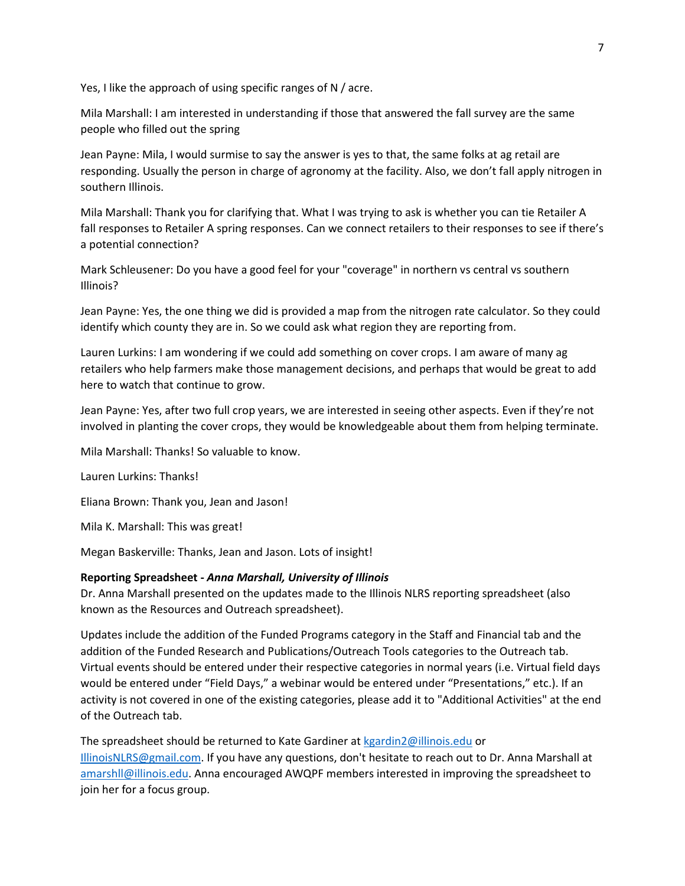Yes, I like the approach of using specific ranges of N / acre.

Mila Marshall: I am interested in understanding if those that answered the fall survey are the same people who filled out the spring

Jean Payne: Mila, I would surmise to say the answer is yes to that, the same folks at ag retail are responding. Usually the person in charge of agronomy at the facility. Also, we don't fall apply nitrogen in southern Illinois.

Mila Marshall: Thank you for clarifying that. What I was trying to ask is whether you can tie Retailer A fall responses to Retailer A spring responses. Can we connect retailers to their responses to see if there's a potential connection?

Mark Schleusener: Do you have a good feel for your "coverage" in northern vs central vs southern Illinois?

Jean Payne: Yes, the one thing we did is provided a map from the nitrogen rate calculator. So they could identify which county they are in. So we could ask what region they are reporting from.

Lauren Lurkins: I am wondering if we could add something on cover crops. I am aware of many ag retailers who help farmers make those management decisions, and perhaps that would be great to add here to watch that continue to grow.

Jean Payne: Yes, after two full crop years, we are interested in seeing other aspects. Even if they're not involved in planting the cover crops, they would be knowledgeable about them from helping terminate.

Mila Marshall: Thanks! So valuable to know.

Lauren Lurkins: Thanks!

Eliana Brown: Thank you, Jean and Jason!

Mila K. Marshall: This was great!

Megan Baskerville: Thanks, Jean and Jason. Lots of insight!

## **Reporting Spreadsheet -** *Anna Marshall, University of Illinois*

Dr. Anna Marshall presented on the updates made to the Illinois NLRS reporting spreadsheet (also known as the Resources and Outreach spreadsheet).

Updates include the addition of the Funded Programs category in the Staff and Financial tab and the addition of the Funded Research and Publications/Outreach Tools categories to the Outreach tab. Virtual events should be entered under their respective categories in normal years (i.e. Virtual field days would be entered under "Field Days," a webinar would be entered under "Presentations," etc.). If an activity is not covered in one of the existing categories, please add it to "Additional Activities" at the end of the Outreach tab.

The spreadsheet should be returned to Kate Gardiner at [kgardin2@illinois.edu](mailto:kgardin2@illinois.edu) or [IllinoisNLRS@gmail.com.](mailto:IllinoisNLRS@gmail.com) If you have any questions, don't hesitate to reach out to Dr. Anna Marshall at [amarshll@illinois.edu.](mailto:amarshll@illinois.edu) Anna encouraged AWQPF members interested in improving the spreadsheet to join her for a focus group.